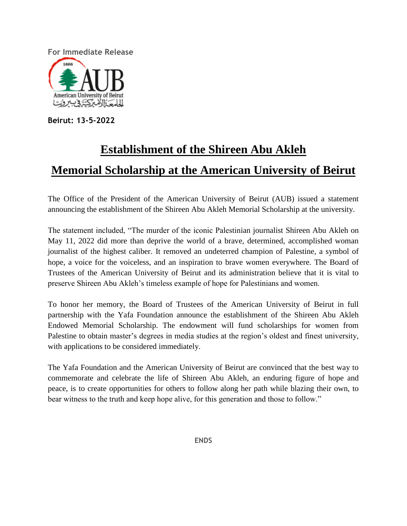**For Immediate Release**



**Beirut: 13-5-2022**

# **Establishment of the Shireen Abu Akleh**

## **Memorial Scholarship at the American University of Beirut**

The Office of the President of the American University of Beirut (AUB) issued a statement announcing the establishment of the Shireen Abu Akleh Memorial Scholarship at the university.

The statement included, "The murder of the iconic Palestinian journalist Shireen Abu Akleh on May 11, 2022 did more than deprive the world of a brave, determined, accomplished woman journalist of the highest caliber. It removed an undeterred champion of Palestine, a symbol of hope, a voice for the voiceless, and an inspiration to brave women everywhere. The Board of Trustees of the American University of Beirut and its administration believe that it is vital to preserve Shireen Abu Akleh's timeless example of hope for Palestinians and women.

To honor her memory, the Board of Trustees of the American University of Beirut in full partnership with the Yafa Foundation announce the establishment of the Shireen Abu Akleh Endowed Memorial Scholarship. The endowment will fund scholarships for women from Palestine to obtain master's degrees in media studies at the region's oldest and finest university, with applications to be considered immediately.

The Yafa Foundation and the American University of Beirut are convinced that the best way to commemorate and celebrate the life of Shireen Abu Akleh, an enduring figure of hope and peace, is to create opportunities for others to follow along her path while blazing their own, to bear witness to the truth and keep hope alive, for this generation and those to follow."